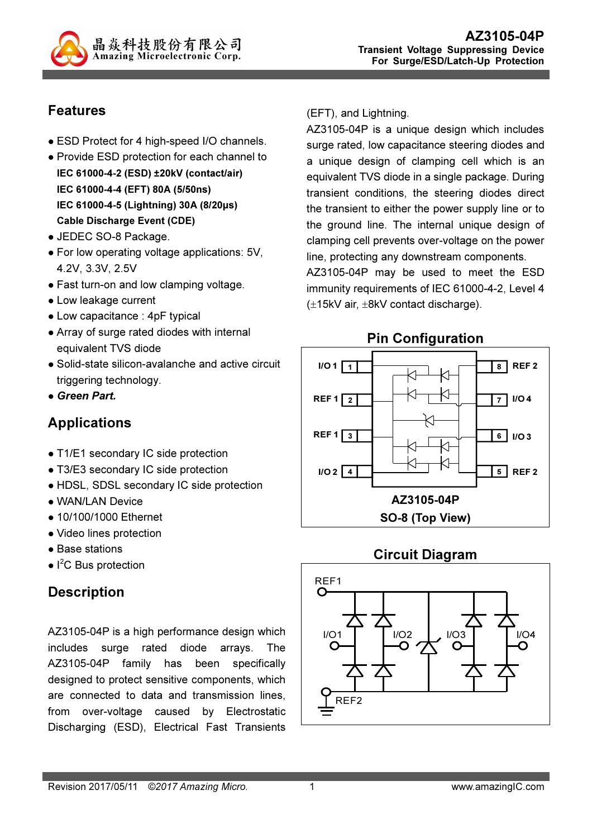

## Features

- ESD Protect for 4 high-speed I/O channels.
- Provide ESD protection for each channel to IEC 61000-4-2 (ESD) ±20kV (contact/air) IEC 61000-4-4 (EFT) 80A (5/50ns) IEC 61000-4-5 (Lightning) 30A (8/20µs) Cable Discharge Event (CDE)
- JEDEC SO-8 Package.
- For low operating voltage applications: 5V, 4.2V, 3.3V, 2.5V
- Fast turn-on and low clamping voltage.
- Low leakage current
- Low capacitance : 4pF typical
- Array of surge rated diodes with internal equivalent TVS diode
- Solid-state silicon-avalanche and active circuit triggering technology.
- Green Part.

# Applications

- T1/E1 secondary IC side protection
- T3/E3 secondary IC side protection
- HDSL, SDSL secondary IC side protection
- WAN/LAN Device
- 10/100/1000 Ethernet
- Video lines protection
- Base stations
- $\bullet$  I<sup>2</sup>C Bus protection

### **Description**

AZ3105-04P is a high performance design which includes surge rated diode arrays. The AZ3105-04P family has been specifically designed to protect sensitive components, which are connected to data and transmission lines, from over-voltage caused by Electrostatic Discharging (ESD), Electrical Fast Transients

#### (EFT), and Lightning.

AZ3105-04P is a unique design which includes surge rated, low capacitance steering diodes and a unique design of clamping cell which is an equivalent TVS diode in a single package. During transient conditions, the steering diodes direct the transient to either the power supply line or to the ground line. The internal unique design of clamping cell prevents over-voltage on the power line, protecting any downstream components.

AZ3105-04P may be used to meet the ESD immunity requirements of IEC 61000-4-2, Level 4 (±15kV air, ±8kV contact discharge).



### Circuit Diagram

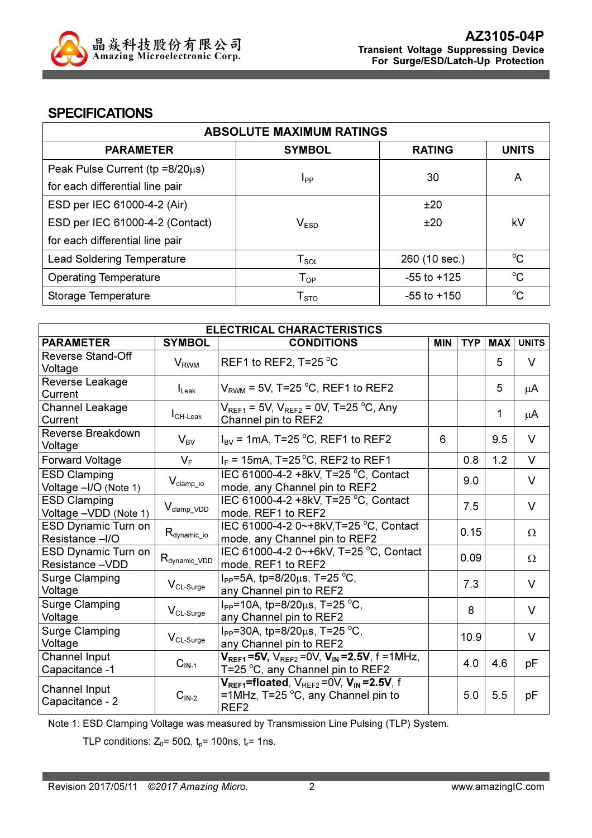

#### **SPECIFICATIONS**

| <b>ABSOLUTE MAXIMUM RATINGS</b>         |                            |                 |              |  |
|-----------------------------------------|----------------------------|-----------------|--------------|--|
| <b>PARAMETER</b>                        | <b>SYMBOL</b>              | <b>RATING</b>   | <b>UNITS</b> |  |
| Peak Pulse Current ( $tp = 8/20\mu s$ ) |                            | 30              |              |  |
| for each differential line pair         | Ipp                        |                 | A            |  |
| ESD per IEC 61000-4-2 (Air)             |                            | ±20             |              |  |
| ESD per IEC 61000-4-2 (Contact)         | V <sub>ESD</sub>           | ±20             | kV           |  |
| for each differential line pair         |                            |                 |              |  |
| <b>Lead Soldering Temperature</b>       | ${\sf T}_{\sf SOL}$        | 260 (10 sec.)   | $^{\circ}C$  |  |
| <b>Operating Temperature</b>            | $T_{OP}$                   | $-55$ to $+125$ | $\rm ^{o}C$  |  |
| Storage Temperature                     | ${\mathsf T}_{\text{STO}}$ | $-55$ to $+150$ | $\rm ^{o}C$  |  |

| <b>ELECTRICAL CHARACTERISTICS</b>             |                           |                                                                                                                            |            |            |            |              |
|-----------------------------------------------|---------------------------|----------------------------------------------------------------------------------------------------------------------------|------------|------------|------------|--------------|
| <b>PARAMETER</b>                              | <b>SYMBOL</b>             | <b>CONDITIONS</b>                                                                                                          | <b>MIN</b> | <b>TYP</b> | <b>MAX</b> | <b>UNITS</b> |
| <b>Reverse Stand-Off</b><br>Voltage           | <b>V</b> <sub>RWM</sub>   | REF1 to REF2, T=25 $^{\circ}$ C                                                                                            |            |            | 5          | V            |
| Reverse Leakage<br>Current                    | $I_{\text{Leak}}$         | $V_{\text{RWM}}$ = 5V, T=25 °C, REF1 to REF2                                                                               |            |            | 5          | μA           |
| <b>Channel Leakage</b><br>Current             | $ICH-Leak$                | $V_{REF1}$ = 5V, $V_{REF2}$ = 0V, T=25 <sup>o</sup> C, Any<br>Channel pin to REF2                                          |            |            | 1          | μA           |
| Reverse Breakdown<br>Voltage                  | $V_{BV}$                  | $I_{\text{BV}}$ = 1mA, T=25 °C, REF1 to REF2                                                                               | 6          |            | 9.5        | $\vee$       |
| <b>Forward Voltage</b>                        | $V_F$                     | $I_F$ = 15mA, T=25 °C, REF2 to REF1                                                                                        |            | 0.8        | 1.2        | $\vee$       |
| <b>ESD Clamping</b><br>Voltage -I/O (Note 1)  | $V_{\text{clamp\_io}}$    | IEC 61000-4-2 +8kV, T=25 °C, Contact<br>mode, any Channel pin to REF2                                                      |            | 9.0        |            | $\vee$       |
| <b>ESD Clamping</b><br>Voltage - VDD (Note 1) | $V_{\text{clamp\_VDD}}$   | IEC 61000-4-2 +8kV, T=25 °C, Contact<br>mode, REF1 to REF2                                                                 |            | 7.5        |            | $\vee$       |
| <b>ESD Dynamic Turn on</b><br>Resistance -I/O | $R_{\text{dynamic\_io}}$  | IEC 61000-4-2 0~+8kV, T=25 °C, Contact<br>mode, any Channel pin to REF2                                                    |            | 0.15       |            | Ω            |
| ESD Dynamic Turn on<br>Resistance -VDD        | $R_{\text{dynamic\_VDD}}$ | IEC 61000-4-2 0~+6kV, T=25 °C, Contact<br>mode, REF1 to REF2                                                               |            | 0.09       |            | Ω            |
| <b>Surge Clamping</b><br>Voltage              | $V_{CL\text{-}Surge}$     | $I_{PP}$ =5A, tp=8/20 $\mu$ s, T=25 °C,<br>any Channel pin to REF2                                                         |            | 7.3        |            | $\vee$       |
| <b>Surge Clamping</b><br>Voltage              | $V_{CL\text{-}Surge}$     | $I_{PP}$ =10A, tp=8/20 $\mu$ s, T=25 °C,<br>any Channel pin to REF2                                                        |            | 8          |            | $\vee$       |
| <b>Surge Clamping</b><br>Voltage              | $V_{CL\text{-}Surge}$     | I <sub>PP</sub> =30A, tp=8/20 $\mu$ s, T=25 °C,<br>any Channel pin to REF2                                                 |            | 10.9       |            | $\vee$       |
| Channel Input<br>Capacitance -1               | $CIN-1$                   | $V_{REF1}$ =5V, $V_{REF2}$ =0V, $V_{IN}$ =2.5V, f =1MHz,<br>T=25 °C, any Channel pin to REF2                               |            | 4.0        | 4.6        | pF           |
| <b>Channel Input</b><br>Capacitance - 2       | $CIN-2$                   | $V_{REF1}$ =floated, $V_{REF2}$ =0V, $V_{IN}$ =2.5V, f<br>=1MHz, T=25 $^{\circ}$ C, any Channel pin to<br>REF <sub>2</sub> |            | 5.0        | 5.5        | pF           |

Note 1: ESD Clamping Voltage was measured by Transmission Line Pulsing (TLP) System.

TLP conditions:  $Z_0$ = 50 $\Omega$ ,  $t_p$ = 100ns,  $t_r$ = 1ns.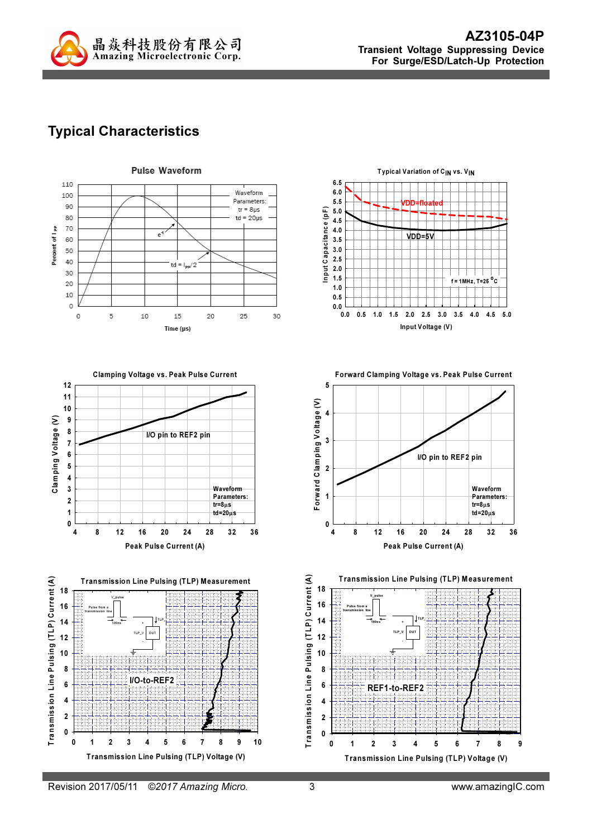

## Typical Characteristics











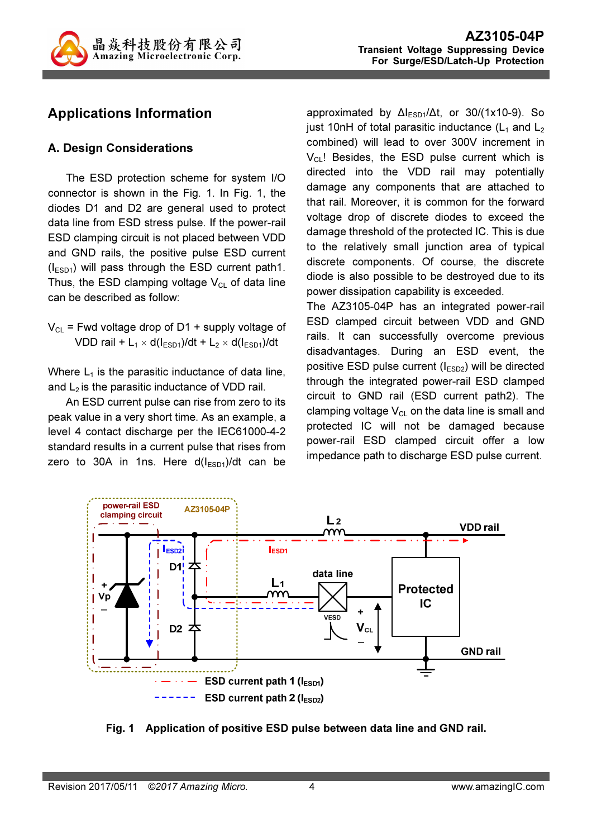

## Applications Information

#### A. Design Considerations

The ESD protection scheme for system I/O connector is shown in the Fig. 1. In Fig. 1, the diodes D1 and D2 are general used to protect data line from ESD stress pulse. If the power-rail ESD clamping circuit is not placed between VDD and GND rails, the positive pulse ESD current  $(I<sub>ESD1</sub>)$  will pass through the ESD current path1. Thus, the ESD clamping voltage  $V_{CL}$  of data line can be described as follow:

 $V_{CL}$  = Fwd voltage drop of D1 + supply voltage of VDD rail +  $L_1 \times d(l_{ESD1})/dt + L_2 \times d(l_{ESD1})/dt$ 

Where  $L_1$  is the parasitic inductance of data line, and  $L<sub>2</sub>$  is the parasitic inductance of VDD rail.

An ESD current pulse can rise from zero to its peak value in a very short time. As an example, a level 4 contact discharge per the IEC61000-4-2 standard results in a current pulse that rises from zero to 30A in 1ns. Here  $d(I_{ESD1})/dt$  can be

approximated by  $\Delta I_{ESD1}/\Delta t$ , or 30/(1x10-9). So just 10nH of total parasitic inductance  $(L_1$  and  $L_2$ combined) will lead to over 300V increment in  $V_{CL}$ ! Besides, the ESD pulse current which is directed into the VDD rail may potentially damage any components that are attached to that rail. Moreover, it is common for the forward voltage drop of discrete diodes to exceed the damage threshold of the protected IC. This is due to the relatively small junction area of typical discrete components. Of course, the discrete diode is also possible to be destroyed due to its power dissipation capability is exceeded.

The AZ3105-04P has an integrated power-rail ESD clamped circuit between VDD and GND rails. It can successfully overcome previous disadvantages. During an ESD event, the positive ESD pulse current  $(I_{ESD2})$  will be directed through the integrated power-rail ESD clamped circuit to GND rail (ESD current path2). The clamping voltage  $V_{CL}$  on the data line is small and protected IC will not be damaged because power-rail ESD clamped circuit offer a low impedance path to discharge ESD pulse current.



Fig. 1 Application of positive ESD pulse between data line and GND rail.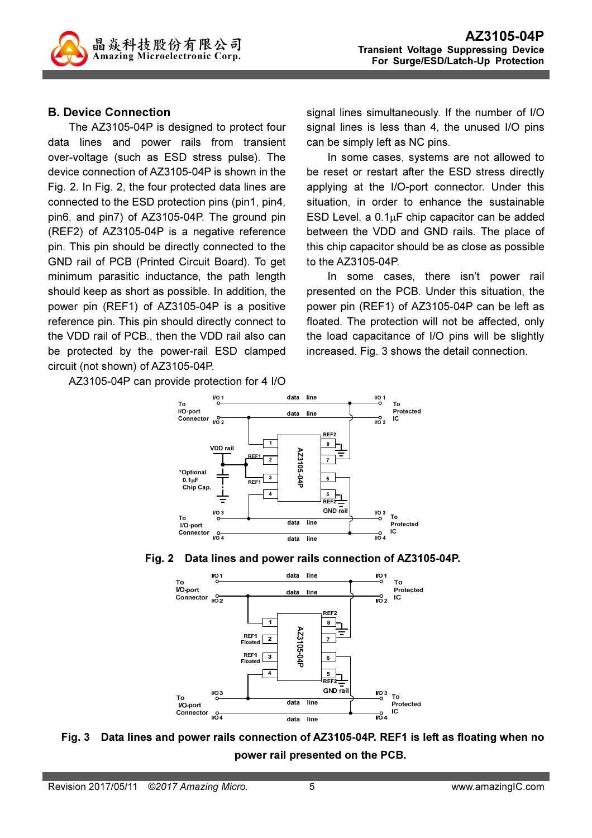#### B. Device Connection

The AZ3105-04P is designed to protect four data lines and power rails from transient over-voltage (such as ESD stress pulse). The device connection of AZ3105-04P is shown in the Fig. 2. In Fig. 2, the four protected data lines are connected to the ESD protection pins (pin1, pin4, pin6, and pin7) of AZ3105-04P. The ground pin (REF2) of AZ3105-04P is a negative reference pin. This pin should be directly connected to the GND rail of PCB (Printed Circuit Board). To get minimum parasitic inductance, the path length should keep as short as possible. In addition, the power pin (REF1) of AZ3105-04P is a positive reference pin. This pin should directly connect to the VDD rail of PCB., then the VDD rail also can be protected by the power-rail ESD clamped circuit (not shown) of AZ3105-04P.

AZ3105-04P can provide protection for 4 I/O

signal lines simultaneously. If the number of I/O signal lines is less than 4, the unused I/O pins can be simply left as NC pins.

In some cases, systems are not allowed to be reset or restart after the ESD stress directly applying at the I/O-port connector. Under this situation, in order to enhance the sustainable ESD Level, a 0.1µF chip capacitor can be added between the VDD and GND rails. The place of this chip capacitor should be as close as possible to the AZ3105-04P.

In some cases, there isn't power rail presented on the PCB. Under this situation, the power pin (REF1) of AZ3105-04P can be left as floated. The protection will not be affected, only the load capacitance of I/O pins will be slightly increased. Fig. 3 shows the detail connection.







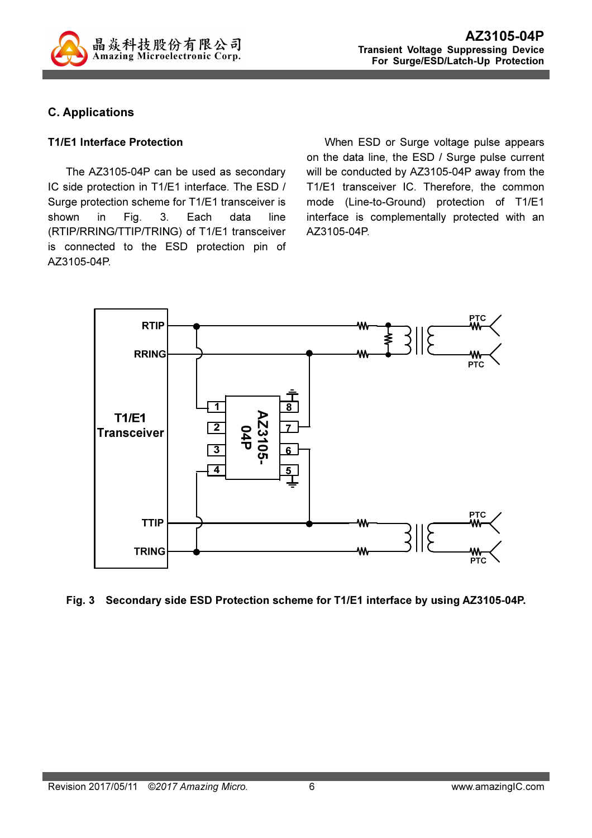

#### C. Applications

#### T1/E1 Interface Protection

The AZ3105-04P can be used as secondary IC side protection in T1/E1 interface. The ESD / Surge protection scheme for T1/E1 transceiver is shown in Fig. 3. Each data line (RTIP/RRING/TTIP/TRING) of T1/E1 transceiver is connected to the ESD protection pin of AZ3105-04P.

When ESD or Surge voltage pulse appears on the data line, the ESD / Surge pulse current will be conducted by AZ3105-04P away from the T1/E1 transceiver IC. Therefore, the common mode (Line-to-Ground) protection of T1/E1 interface is complementally protected with an AZ3105-04P.



Fig. 3 Secondary side ESD Protection scheme for T1/E1 interface by using AZ3105-04P.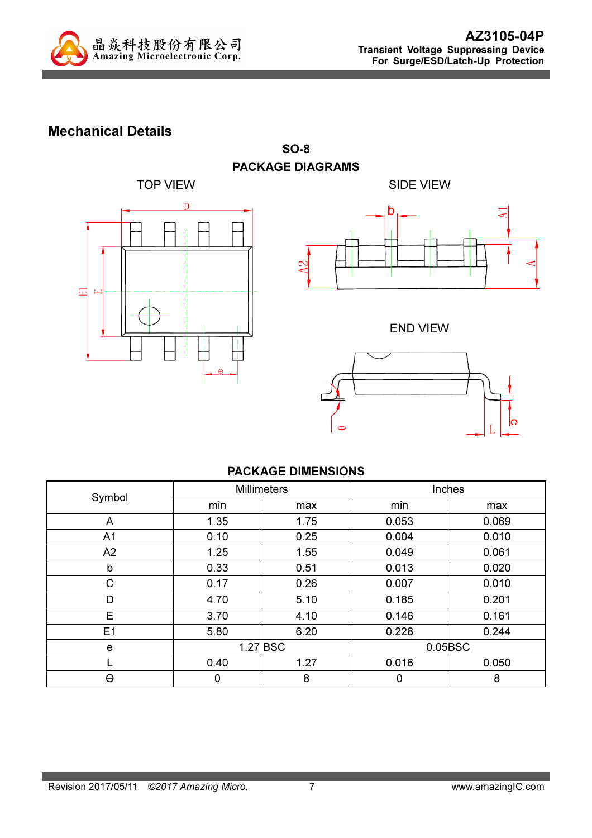

### Mechanical Details



SO-8 PACKAGE DIAGRAMS



END VIEW



#### PACKAGE DIMENSIONS

|                | <b>Millimeters</b> |      | Inches  |       |
|----------------|--------------------|------|---------|-------|
| Symbol         | min                | max  | min     | max   |
| A              | 1.35               | 1.75 | 0.053   | 0.069 |
| A <sub>1</sub> | 0.10               | 0.25 | 0.004   | 0.010 |
| A2             | 1.25               | 1.55 | 0.049   | 0.061 |
| b              | 0.33               | 0.51 | 0.013   | 0.020 |
| C              | 0.17               | 0.26 | 0.007   | 0.010 |
| D              | 4.70               | 5.10 | 0.185   | 0.201 |
| E              | 3.70               | 4.10 | 0.146   | 0.161 |
| E1             | 5.80               | 6.20 | 0.228   | 0.244 |
| e              | 1.27 BSC           |      | 0.05BSC |       |
|                | 0.40               | 1.27 | 0.016   | 0.050 |
| Θ              | 0                  | 8    | 0       | 8     |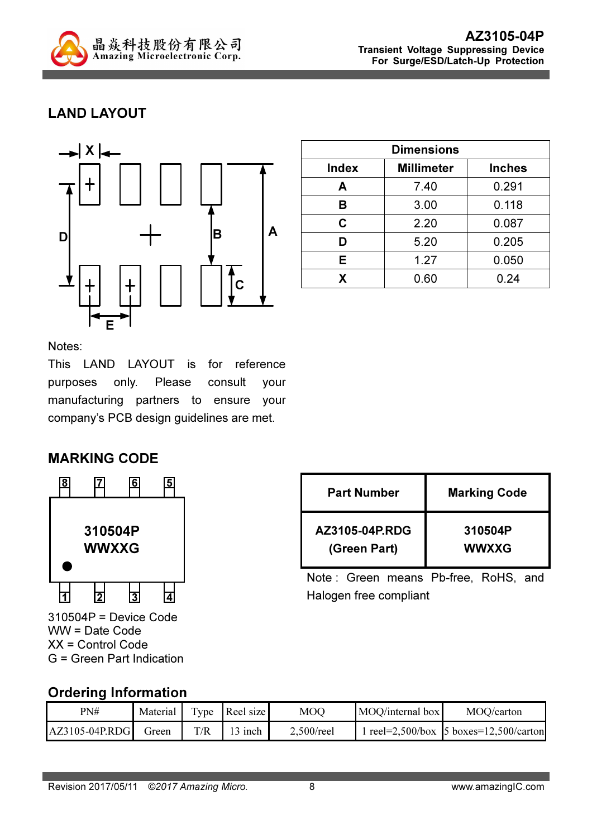

# LAND LAYOUT



| <b>Dimensions</b> |                   |               |  |
|-------------------|-------------------|---------------|--|
| <b>Index</b>      | <b>Millimeter</b> | <b>Inches</b> |  |
| A                 | 7.40              | 0.291         |  |
| в                 | 3.00              | 0.118         |  |
| C                 | 2.20              | 0.087         |  |
| D                 | 5.20              | 0.205         |  |
| Е                 | 1.27              | 0.050         |  |
| X                 | 0.60              | 0.24          |  |

Notes:

This LAND LAYOUT is for reference purposes only. Please consult your manufacturing partners to ensure your company's PCB design guidelines are met.

### MARKING CODE



310504P = Device Code WW = Date Code XX = Control Code G = Green Part Indication

| <b>Part Number</b> | <b>Marking Code</b> |  |  |
|--------------------|---------------------|--|--|
| AZ3105-04P.RDG     | 310504P             |  |  |
| (Green Part)       | <b>WWXXG</b>        |  |  |

Note : Green means Pb-free, RoHS, and Halogen free compliant

### Ordering Information

| PN#              | Material | Type | Reel size | MOQ           | MOQ/internal box | MOQ/carton                                             |
|------------------|----------|------|-----------|---------------|------------------|--------------------------------------------------------|
| $AZ3105-04P.RDG$ | Green    | T/R  | 3 inch    | $2,500$ /reel |                  | $\text{tree} = 2,500/\text{box}$ 5 boxes=12,500/carton |